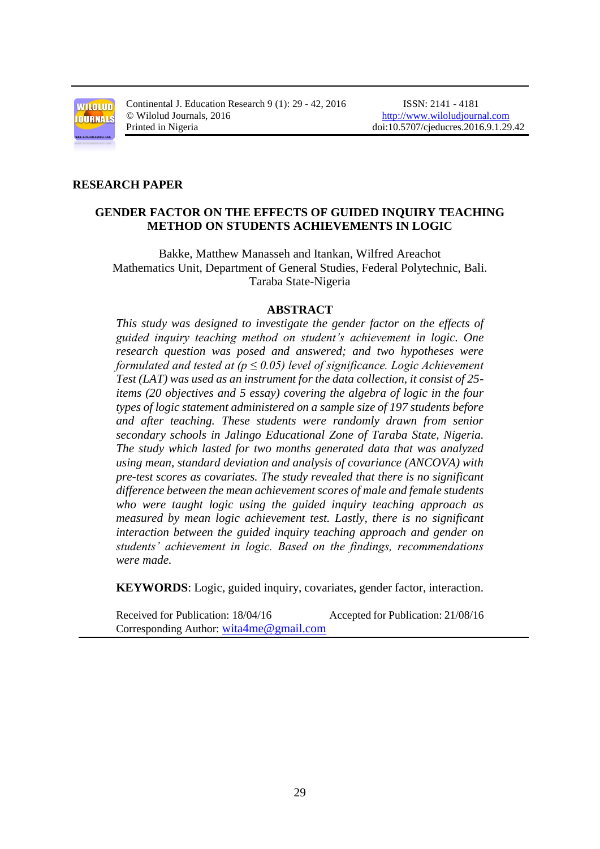

Continental J. Education Research 9 (1): 29 - 42, 2016 ISSN: 2141 - 4181 © Wilolud Journals, 2016 [http://www.wiloludjournal.com](http://www.wiloludjournal.com/)

#### **RESEARCH PAPER**

## **GENDER FACTOR ON THE EFFECTS OF GUIDED INQUIRY TEACHING METHOD ON STUDENTS ACHIEVEMENTS IN LOGIC**

Bakke, Matthew Manasseh and Itankan, Wilfred Areachot Mathematics Unit, Department of General Studies, Federal Polytechnic, Bali. Taraba State-Nigeria

#### **ABSTRACT**

*This study was designed to investigate the gender factor on the effects of guided inquiry teaching method on student's achievement in logic. One research question was posed and answered; and two hypotheses were formulated and tested at (* $p \leq 0.05$ *) level of significance. Logic Achievement Test (LAT) was used as an instrument for the data collection, it consist of 25 items (20 objectives and 5 essay) covering the algebra of logic in the four types of logic statement administered on a sample size of 197 students before and after teaching. These students were randomly drawn from senior secondary schools in Jalingo Educational Zone of Taraba State, Nigeria. The study which lasted for two months generated data that was analyzed using mean, standard deviation and analysis of covariance (ANCOVA) with pre-test scores as covariates. The study revealed that there is no significant difference between the mean achievement scores of male and female students who were taught logic using the guided inquiry teaching approach as measured by mean logic achievement test. Lastly, there is no significant interaction between the guided inquiry teaching approach and gender on students' achievement in logic. Based on the findings, recommendations were made.*

**KEYWORDS**: Logic, guided inquiry, covariates, gender factor, interaction.

Received for Publication: 18/04/16 Accepted for Publication: 21/08/16 Corresponding Author: [wita4me@gmail.com](mailto:wita4me@gmail.com)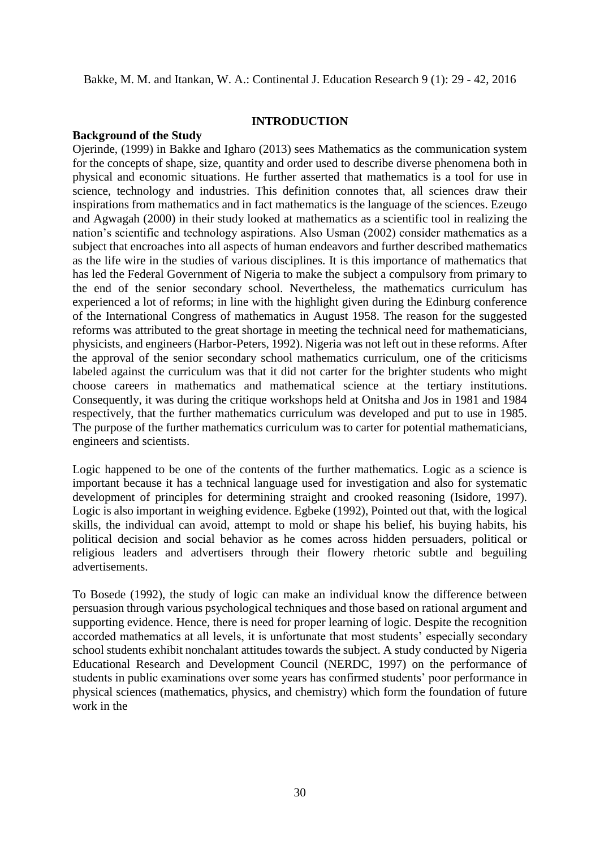### **INTRODUCTION**

#### **Background of the Study**

Ojerinde, (1999) in Bakke and Igharo (2013) sees Mathematics as the communication system for the concepts of shape, size, quantity and order used to describe diverse phenomena both in physical and economic situations. He further asserted that mathematics is a tool for use in science, technology and industries. This definition connotes that, all sciences draw their inspirations from mathematics and in fact mathematics is the language of the sciences. Ezeugo and Agwagah (2000) in their study looked at mathematics as a scientific tool in realizing the nation's scientific and technology aspirations. Also Usman (2002) consider mathematics as a subject that encroaches into all aspects of human endeavors and further described mathematics as the life wire in the studies of various disciplines. It is this importance of mathematics that has led the Federal Government of Nigeria to make the subject a compulsory from primary to the end of the senior secondary school. Nevertheless, the mathematics curriculum has experienced a lot of reforms; in line with the highlight given during the Edinburg conference of the International Congress of mathematics in August 1958. The reason for the suggested reforms was attributed to the great shortage in meeting the technical need for mathematicians, physicists, and engineers (Harbor-Peters, 1992). Nigeria was not left out in these reforms. After the approval of the senior secondary school mathematics curriculum, one of the criticisms labeled against the curriculum was that it did not carter for the brighter students who might choose careers in mathematics and mathematical science at the tertiary institutions. Consequently, it was during the critique workshops held at Onitsha and Jos in 1981 and 1984 respectively, that the further mathematics curriculum was developed and put to use in 1985. The purpose of the further mathematics curriculum was to carter for potential mathematicians, engineers and scientists.

Logic happened to be one of the contents of the further mathematics. Logic as a science is important because it has a technical language used for investigation and also for systematic development of principles for determining straight and crooked reasoning (Isidore, 1997). Logic is also important in weighing evidence. Egbeke (1992), Pointed out that, with the logical skills, the individual can avoid, attempt to mold or shape his belief, his buying habits, his political decision and social behavior as he comes across hidden persuaders, political or religious leaders and advertisers through their flowery rhetoric subtle and beguiling advertisements.

To Bosede (1992), the study of logic can make an individual know the difference between persuasion through various psychological techniques and those based on rational argument and supporting evidence. Hence, there is need for proper learning of logic. Despite the recognition accorded mathematics at all levels, it is unfortunate that most students' especially secondary school students exhibit nonchalant attitudes towards the subject. A study conducted by Nigeria Educational Research and Development Council (NERDC, 1997) on the performance of students in public examinations over some years has confirmed students' poor performance in physical sciences (mathematics, physics, and chemistry) which form the foundation of future work in the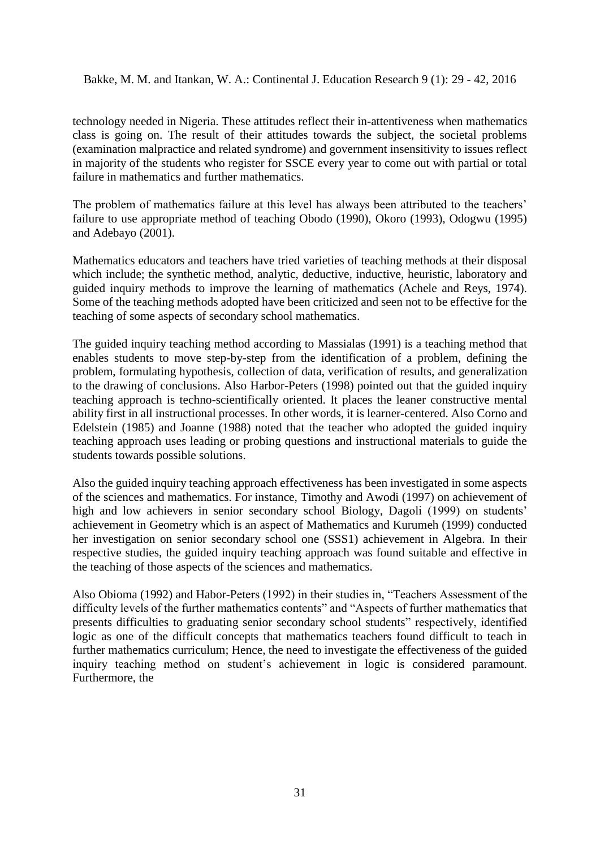technology needed in Nigeria. These attitudes reflect their in-attentiveness when mathematics class is going on. The result of their attitudes towards the subject, the societal problems (examination malpractice and related syndrome) and government insensitivity to issues reflect in majority of the students who register for SSCE every year to come out with partial or total failure in mathematics and further mathematics.

The problem of mathematics failure at this level has always been attributed to the teachers' failure to use appropriate method of teaching Obodo (1990), Okoro (1993), Odogwu (1995) and Adebayo (2001).

Mathematics educators and teachers have tried varieties of teaching methods at their disposal which include; the synthetic method, analytic, deductive, inductive, heuristic, laboratory and guided inquiry methods to improve the learning of mathematics (Achele and Reys, 1974). Some of the teaching methods adopted have been criticized and seen not to be effective for the teaching of some aspects of secondary school mathematics.

The guided inquiry teaching method according to Massialas (1991) is a teaching method that enables students to move step-by-step from the identification of a problem, defining the problem, formulating hypothesis, collection of data, verification of results, and generalization to the drawing of conclusions. Also Harbor-Peters (1998) pointed out that the guided inquiry teaching approach is techno-scientifically oriented. It places the leaner constructive mental ability first in all instructional processes. In other words, it is learner-centered. Also Corno and Edelstein (1985) and Joanne (1988) noted that the teacher who adopted the guided inquiry teaching approach uses leading or probing questions and instructional materials to guide the students towards possible solutions.

Also the guided inquiry teaching approach effectiveness has been investigated in some aspects of the sciences and mathematics. For instance, Timothy and Awodi (1997) on achievement of high and low achievers in senior secondary school Biology, Dagoli (1999) on students' achievement in Geometry which is an aspect of Mathematics and Kurumeh (1999) conducted her investigation on senior secondary school one (SSS1) achievement in Algebra. In their respective studies, the guided inquiry teaching approach was found suitable and effective in the teaching of those aspects of the sciences and mathematics.

Also Obioma (1992) and Habor-Peters (1992) in their studies in, "Teachers Assessment of the difficulty levels of the further mathematics contents" and "Aspects of further mathematics that presents difficulties to graduating senior secondary school students" respectively, identified logic as one of the difficult concepts that mathematics teachers found difficult to teach in further mathematics curriculum; Hence, the need to investigate the effectiveness of the guided inquiry teaching method on student's achievement in logic is considered paramount. Furthermore, the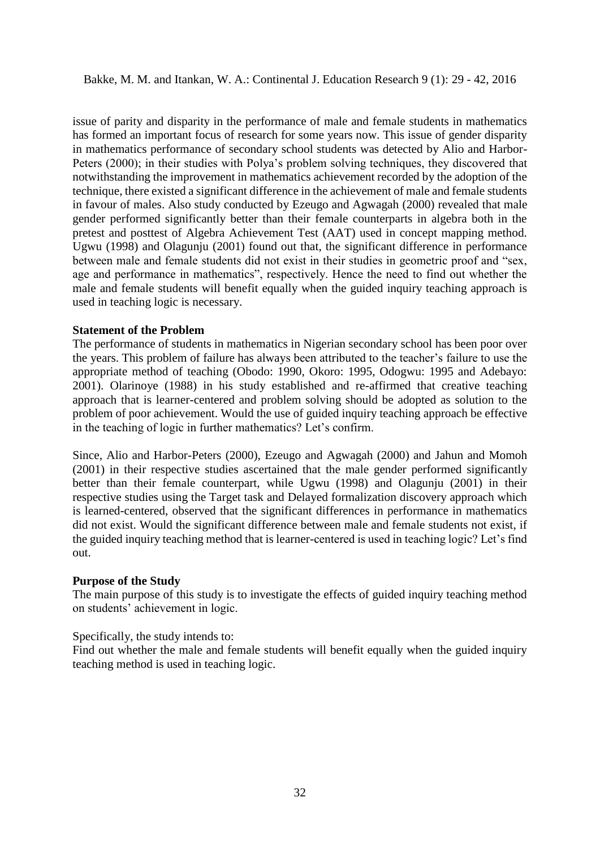issue of parity and disparity in the performance of male and female students in mathematics has formed an important focus of research for some years now. This issue of gender disparity in mathematics performance of secondary school students was detected by Alio and Harbor-Peters (2000); in their studies with Polya's problem solving techniques, they discovered that notwithstanding the improvement in mathematics achievement recorded by the adoption of the technique, there existed a significant difference in the achievement of male and female students in favour of males. Also study conducted by Ezeugo and Agwagah (2000) revealed that male gender performed significantly better than their female counterparts in algebra both in the pretest and posttest of Algebra Achievement Test (AAT) used in concept mapping method. Ugwu (1998) and Olagunju (2001) found out that, the significant difference in performance between male and female students did not exist in their studies in geometric proof and "sex, age and performance in mathematics", respectively. Hence the need to find out whether the male and female students will benefit equally when the guided inquiry teaching approach is used in teaching logic is necessary.

## **Statement of the Problem**

The performance of students in mathematics in Nigerian secondary school has been poor over the years. This problem of failure has always been attributed to the teacher's failure to use the appropriate method of teaching (Obodo: 1990, Okoro: 1995, Odogwu: 1995 and Adebayo: 2001). Olarinoye (1988) in his study established and re-affirmed that creative teaching approach that is learner-centered and problem solving should be adopted as solution to the problem of poor achievement. Would the use of guided inquiry teaching approach be effective in the teaching of logic in further mathematics? Let's confirm.

Since, Alio and Harbor-Peters (2000), Ezeugo and Agwagah (2000) and Jahun and Momoh (2001) in their respective studies ascertained that the male gender performed significantly better than their female counterpart, while Ugwu (1998) and Olagunju (2001) in their respective studies using the Target task and Delayed formalization discovery approach which is learned-centered, observed that the significant differences in performance in mathematics did not exist. Would the significant difference between male and female students not exist, if the guided inquiry teaching method that is learner-centered is used in teaching logic? Let's find out.

### **Purpose of the Study**

The main purpose of this study is to investigate the effects of guided inquiry teaching method on students' achievement in logic.

### Specifically, the study intends to:

Find out whether the male and female students will benefit equally when the guided inquiry teaching method is used in teaching logic.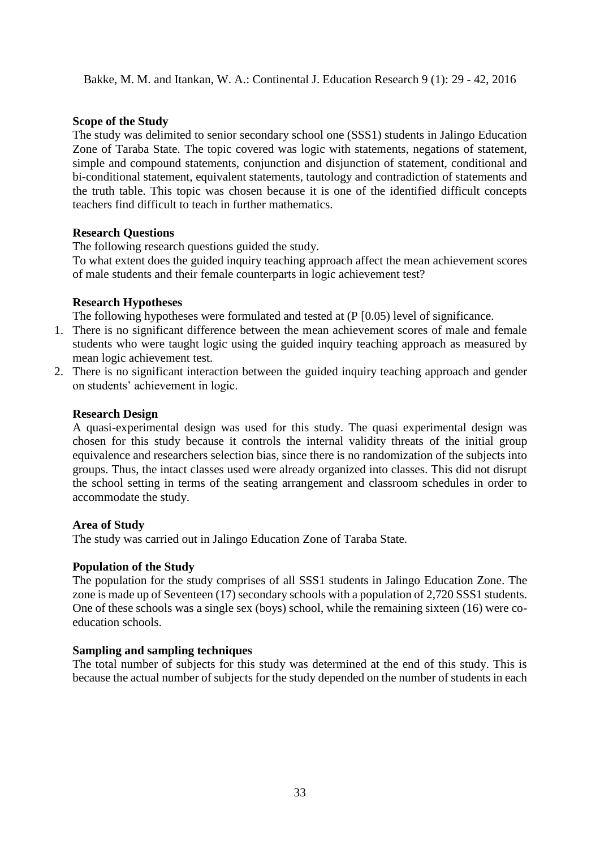## **Scope of the Study**

The study was delimited to senior secondary school one (SSS1) students in Jalingo Education Zone of Taraba State. The topic covered was logic with statements, negations of statement, simple and compound statements, conjunction and disjunction of statement, conditional and bi-conditional statement, equivalent statements, tautology and contradiction of statements and the truth table. This topic was chosen because it is one of the identified difficult concepts teachers find difficult to teach in further mathematics.

### **Research Questions**

The following research questions guided the study.

To what extent does the guided inquiry teaching approach affect the mean achievement scores of male students and their female counterparts in logic achievement test?

### **Research Hypotheses**

The following hypotheses were formulated and tested at (P [0.05) level of significance.

- 1. There is no significant difference between the mean achievement scores of male and female students who were taught logic using the guided inquiry teaching approach as measured by mean logic achievement test.
- 2. There is no significant interaction between the guided inquiry teaching approach and gender on students' achievement in logic.

### **Research Design**

A quasi-experimental design was used for this study. The quasi experimental design was chosen for this study because it controls the internal validity threats of the initial group equivalence and researchers selection bias, since there is no randomization of the subjects into groups. Thus, the intact classes used were already organized into classes. This did not disrupt the school setting in terms of the seating arrangement and classroom schedules in order to accommodate the study.

### **Area of Study**

The study was carried out in Jalingo Education Zone of Taraba State.

### **Population of the Study**

The population for the study comprises of all SSS1 students in Jalingo Education Zone. The zone is made up of Seventeen (17) secondary schools with a population of 2,720 SSS1 students. One of these schools was a single sex (boys) school, while the remaining sixteen (16) were coeducation schools.

## **Sampling and sampling techniques**

The total number of subjects for this study was determined at the end of this study. This is because the actual number of subjects for the study depended on the number of students in each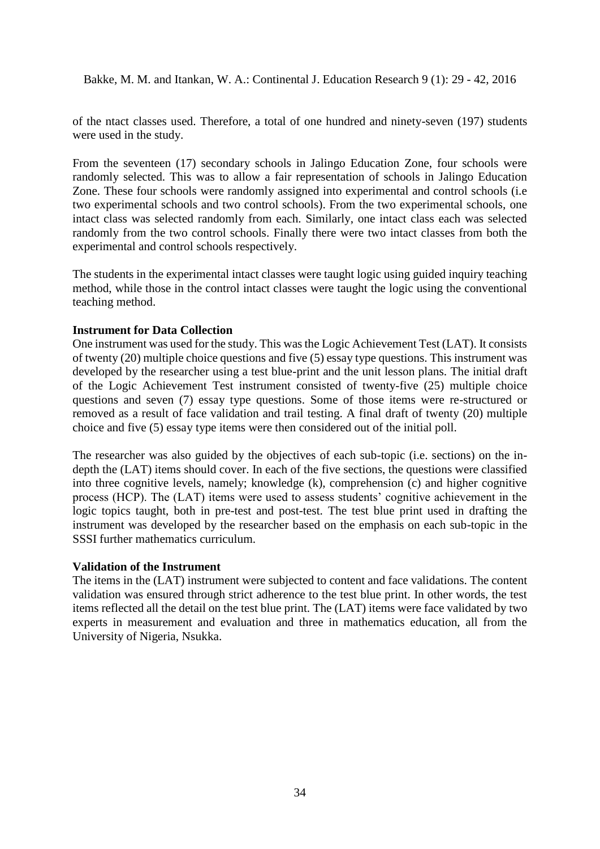of the ntact classes used. Therefore, a total of one hundred and ninety-seven (197) students were used in the study.

From the seventeen (17) secondary schools in Jalingo Education Zone, four schools were randomly selected. This was to allow a fair representation of schools in Jalingo Education Zone. These four schools were randomly assigned into experimental and control schools (i.e two experimental schools and two control schools). From the two experimental schools, one intact class was selected randomly from each. Similarly, one intact class each was selected randomly from the two control schools. Finally there were two intact classes from both the experimental and control schools respectively.

The students in the experimental intact classes were taught logic using guided inquiry teaching method, while those in the control intact classes were taught the logic using the conventional teaching method.

## **Instrument for Data Collection**

One instrument was used for the study. This was the Logic Achievement Test (LAT). It consists of twenty (20) multiple choice questions and five (5) essay type questions. This instrument was developed by the researcher using a test blue-print and the unit lesson plans. The initial draft of the Logic Achievement Test instrument consisted of twenty-five (25) multiple choice questions and seven (7) essay type questions. Some of those items were re-structured or removed as a result of face validation and trail testing. A final draft of twenty (20) multiple choice and five (5) essay type items were then considered out of the initial poll.

The researcher was also guided by the objectives of each sub-topic (i.e. sections) on the indepth the (LAT) items should cover. In each of the five sections, the questions were classified into three cognitive levels, namely; knowledge (k), comprehension (c) and higher cognitive process (HCP). The (LAT) items were used to assess students' cognitive achievement in the logic topics taught, both in pre-test and post-test. The test blue print used in drafting the instrument was developed by the researcher based on the emphasis on each sub-topic in the SSSI further mathematics curriculum.

### **Validation of the Instrument**

The items in the (LAT) instrument were subjected to content and face validations. The content validation was ensured through strict adherence to the test blue print. In other words, the test items reflected all the detail on the test blue print. The (LAT) items were face validated by two experts in measurement and evaluation and three in mathematics education, all from the University of Nigeria, Nsukka.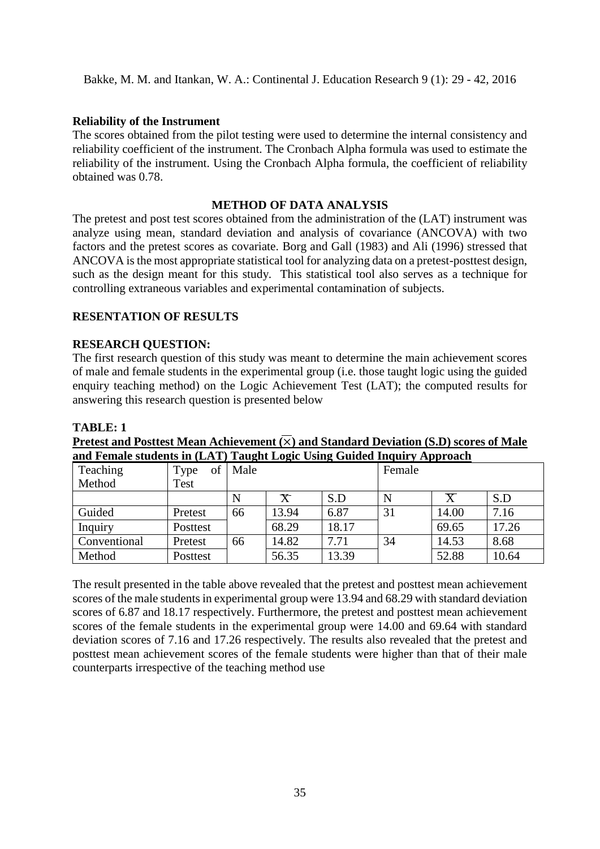### **Reliability of the Instrument**

The scores obtained from the pilot testing were used to determine the internal consistency and reliability coefficient of the instrument. The Cronbach Alpha formula was used to estimate the reliability of the instrument. Using the Cronbach Alpha formula, the coefficient of reliability obtained was 0.78.

## **METHOD OF DATA ANALYSIS**

The pretest and post test scores obtained from the administration of the (LAT) instrument was analyze using mean, standard deviation and analysis of covariance (ANCOVA) with two factors and the pretest scores as covariate. Borg and Gall (1983) and Ali (1996) stressed that ANCOVA is the most appropriate statistical tool for analyzing data on a pretest-posttest design, such as the design meant for this study. This statistical tool also serves as a technique for controlling extraneous variables and experimental contamination of subjects.

# **RESENTATION OF RESULTS**

### **RESEARCH QUESTION:**

The first research question of this study was meant to determine the main achievement scores of male and female students in the experimental group (i.e. those taught logic using the guided enquiry teaching method) on the Logic Achievement Test (LAT); the computed results for answering this research question is presented below

#### **TABLE: 1**

| and Female students in (LAT) Taught Logic Using Guided Inquiry Approach |            |      |                         |       |        |         |       |  |  |  |
|-------------------------------------------------------------------------|------------|------|-------------------------|-------|--------|---------|-------|--|--|--|
| Teaching                                                                | of<br>Type | Male |                         |       | Female |         |       |  |  |  |
| Method                                                                  | Test       |      |                         |       |        |         |       |  |  |  |
|                                                                         |            | N    | $\overline{\mathsf{X}}$ | S.D   | N      | $\rm X$ | S.D   |  |  |  |
| Guided                                                                  | Pretest    | 66   | 13.94                   | 6.87  | 31     | 14.00   | 7.16  |  |  |  |
| Inquiry                                                                 | Posttest   |      | 68.29                   | 18.17 |        | 69.65   | 17.26 |  |  |  |
| Conventional                                                            | Pretest    | 66   | 14.82                   | 7.71  | 34     | 14.53   | 8.68  |  |  |  |
| Method                                                                  | Posttest   |      | 56.35                   | 13.39 |        | 52.88   | 10.64 |  |  |  |

**Pretest and Posttest Mean Achievement**  $(\overline{\times})$  **and Standard Deviation (S.D) scores of Male** 

The result presented in the table above revealed that the pretest and posttest mean achievement scores of the male students in experimental group were 13.94 and 68.29 with standard deviation scores of 6.87 and 18.17 respectively. Furthermore, the pretest and posttest mean achievement scores of the female students in the experimental group were 14.00 and 69.64 with standard deviation scores of 7.16 and 17.26 respectively. The results also revealed that the pretest and posttest mean achievement scores of the female students were higher than that of their male counterparts irrespective of the teaching method use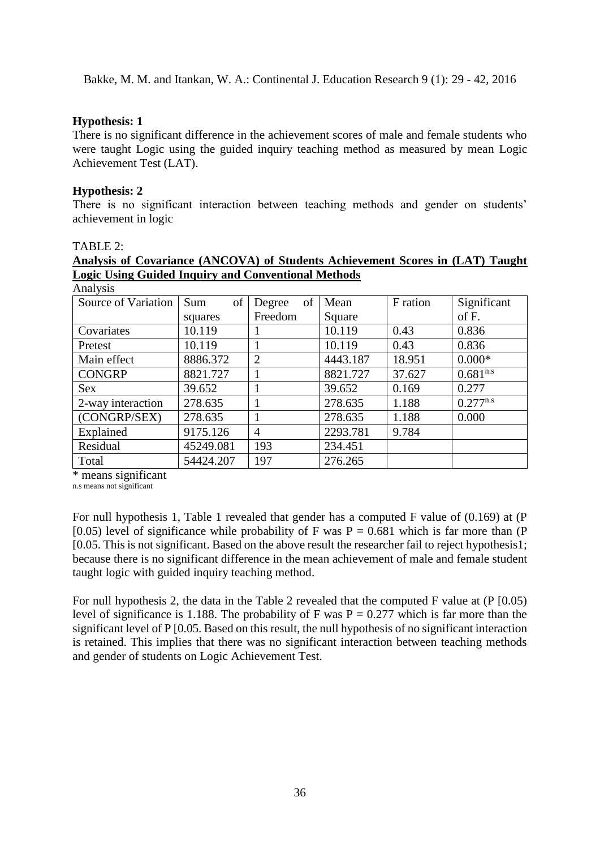## **Hypothesis: 1**

There is no significant difference in the achievement scores of male and female students who were taught Logic using the guided inquiry teaching method as measured by mean Logic Achievement Test (LAT).

## **Hypothesis: 2**

There is no significant interaction between teaching methods and gender on students' achievement in logic

### TABLE 2:

# **Analysis of Covariance (ANCOVA) of Students Achievement Scores in (LAT) Taught Logic Using Guided Inquiry and Conventional Methods**

| Analysis            |           |                |          |          |               |
|---------------------|-----------|----------------|----------|----------|---------------|
| Source of Variation | of<br>Sum | of<br>Degree   | Mean     | F ration | Significant   |
|                     | squares   | Freedom        | Square   |          | of F.         |
| Covariates          | 10.119    |                | 10.119   | 0.43     | 0.836         |
| Pretest             | 10.119    |                | 10.119   | 0.43     | 0.836         |
| Main effect         | 8886.372  | $\overline{2}$ | 4443.187 | 18.951   | $0.000*$      |
| <b>CONGRP</b>       | 8821.727  |                | 8821.727 | 37.627   | $0.681^{n.s}$ |
| <b>Sex</b>          | 39.652    |                | 39.652   | 0.169    | 0.277         |
| 2-way interaction   | 278.635   |                | 278.635  | 1.188    | $0.277^{n.s}$ |
| (CONGRP/SEX)        | 278.635   |                | 278.635  | 1.188    | 0.000         |
| Explained           | 9175.126  | $\overline{4}$ | 2293.781 | 9.784    |               |
| Residual            | 45249.081 | 193            | 234.451  |          |               |
| Total               | 54424.207 | 197            | 276.265  |          |               |

\* means significant

n.s means not significant

For null hypothesis 1, Table 1 revealed that gender has a computed F value of (0.169) at (P [0.05) level of significance while probability of F was  $P = 0.681$  which is far more than (P) [0.05. This is not significant. Based on the above result the researcher fail to reject hypothesis1; because there is no significant difference in the mean achievement of male and female student taught logic with guided inquiry teaching method.

For null hypothesis 2, the data in the Table 2 revealed that the computed F value at (P [0.05) level of significance is 1.188. The probability of F was  $P = 0.277$  which is far more than the significant level of P [0.05. Based on this result, the null hypothesis of no significant interaction is retained. This implies that there was no significant interaction between teaching methods and gender of students on Logic Achievement Test.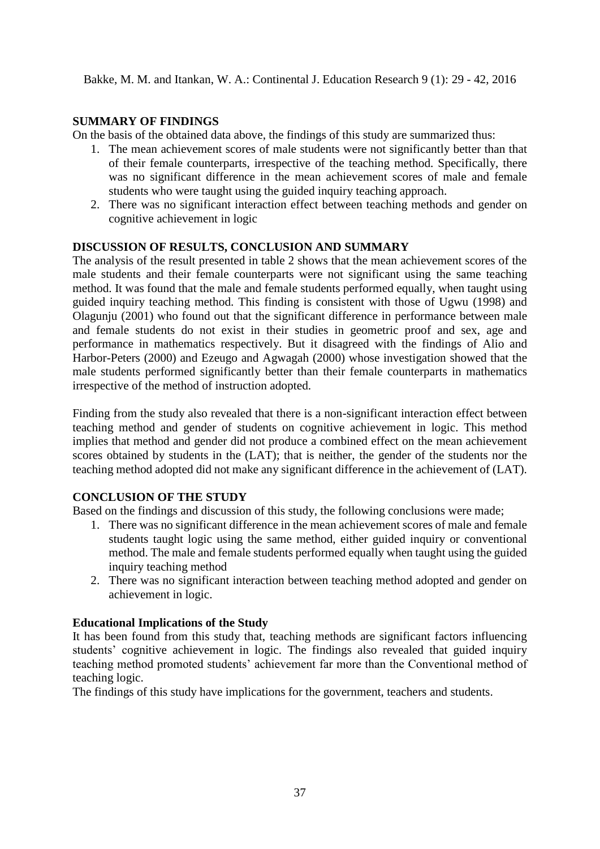# **SUMMARY OF FINDINGS**

On the basis of the obtained data above, the findings of this study are summarized thus:

- 1. The mean achievement scores of male students were not significantly better than that of their female counterparts, irrespective of the teaching method. Specifically, there was no significant difference in the mean achievement scores of male and female students who were taught using the guided inquiry teaching approach.
- 2. There was no significant interaction effect between teaching methods and gender on cognitive achievement in logic

# **DISCUSSION OF RESULTS, CONCLUSION AND SUMMARY**

The analysis of the result presented in table 2 shows that the mean achievement scores of the male students and their female counterparts were not significant using the same teaching method. It was found that the male and female students performed equally, when taught using guided inquiry teaching method. This finding is consistent with those of Ugwu (1998) and Olagunju (2001) who found out that the significant difference in performance between male and female students do not exist in their studies in geometric proof and sex, age and performance in mathematics respectively. But it disagreed with the findings of Alio and Harbor-Peters (2000) and Ezeugo and Agwagah (2000) whose investigation showed that the male students performed significantly better than their female counterparts in mathematics irrespective of the method of instruction adopted.

Finding from the study also revealed that there is a non-significant interaction effect between teaching method and gender of students on cognitive achievement in logic. This method implies that method and gender did not produce a combined effect on the mean achievement scores obtained by students in the (LAT); that is neither, the gender of the students nor the teaching method adopted did not make any significant difference in the achievement of (LAT).

# **CONCLUSION OF THE STUDY**

Based on the findings and discussion of this study, the following conclusions were made;

- 1. There was no significant difference in the mean achievement scores of male and female students taught logic using the same method, either guided inquiry or conventional method. The male and female students performed equally when taught using the guided inquiry teaching method
- 2. There was no significant interaction between teaching method adopted and gender on achievement in logic.

# **Educational Implications of the Study**

It has been found from this study that, teaching methods are significant factors influencing students' cognitive achievement in logic. The findings also revealed that guided inquiry teaching method promoted students' achievement far more than the Conventional method of teaching logic.

The findings of this study have implications for the government, teachers and students.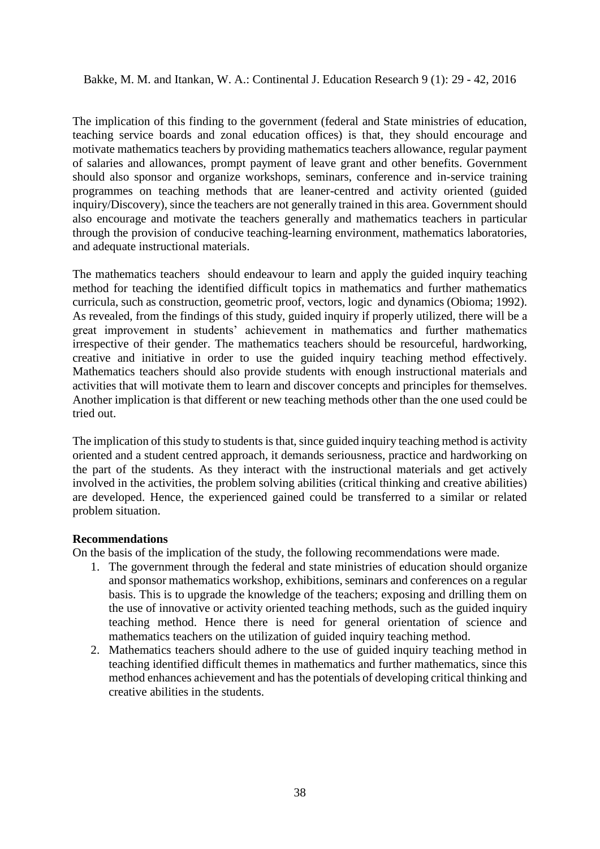The implication of this finding to the government (federal and State ministries of education, teaching service boards and zonal education offices) is that, they should encourage and motivate mathematics teachers by providing mathematics teachers allowance, regular payment of salaries and allowances, prompt payment of leave grant and other benefits. Government should also sponsor and organize workshops, seminars, conference and in-service training programmes on teaching methods that are leaner-centred and activity oriented (guided inquiry/Discovery), since the teachers are not generally trained in this area. Government should also encourage and motivate the teachers generally and mathematics teachers in particular through the provision of conducive teaching-learning environment, mathematics laboratories, and adequate instructional materials.

The mathematics teachers should endeavour to learn and apply the guided inquiry teaching method for teaching the identified difficult topics in mathematics and further mathematics curricula, such as construction, geometric proof, vectors, logic and dynamics (Obioma; 1992). As revealed, from the findings of this study, guided inquiry if properly utilized, there will be a great improvement in students' achievement in mathematics and further mathematics irrespective of their gender. The mathematics teachers should be resourceful, hardworking, creative and initiative in order to use the guided inquiry teaching method effectively. Mathematics teachers should also provide students with enough instructional materials and activities that will motivate them to learn and discover concepts and principles for themselves. Another implication is that different or new teaching methods other than the one used could be tried out.

The implication of this study to students is that, since guided inquiry teaching method is activity oriented and a student centred approach, it demands seriousness, practice and hardworking on the part of the students. As they interact with the instructional materials and get actively involved in the activities, the problem solving abilities (critical thinking and creative abilities) are developed. Hence, the experienced gained could be transferred to a similar or related problem situation.

## **Recommendations**

On the basis of the implication of the study, the following recommendations were made.

- 1. The government through the federal and state ministries of education should organize and sponsor mathematics workshop, exhibitions, seminars and conferences on a regular basis. This is to upgrade the knowledge of the teachers; exposing and drilling them on the use of innovative or activity oriented teaching methods, such as the guided inquiry teaching method. Hence there is need for general orientation of science and mathematics teachers on the utilization of guided inquiry teaching method.
- 2. Mathematics teachers should adhere to the use of guided inquiry teaching method in teaching identified difficult themes in mathematics and further mathematics, since this method enhances achievement and has the potentials of developing critical thinking and creative abilities in the students.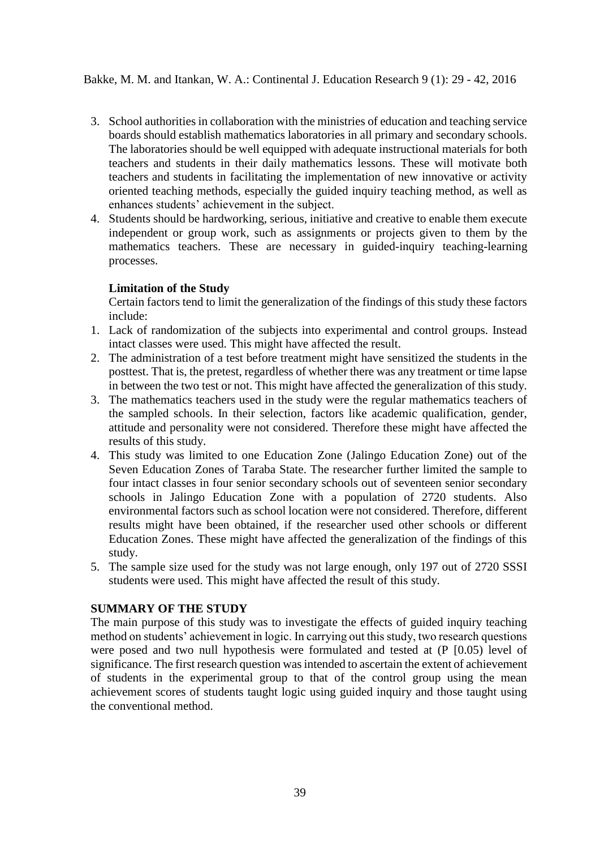- 3. School authorities in collaboration with the ministries of education and teaching service boards should establish mathematics laboratories in all primary and secondary schools. The laboratories should be well equipped with adequate instructional materials for both teachers and students in their daily mathematics lessons. These will motivate both teachers and students in facilitating the implementation of new innovative or activity oriented teaching methods, especially the guided inquiry teaching method, as well as enhances students' achievement in the subject.
- 4. Students should be hardworking, serious, initiative and creative to enable them execute independent or group work, such as assignments or projects given to them by the mathematics teachers. These are necessary in guided-inquiry teaching-learning processes.

# **Limitation of the Study**

Certain factors tend to limit the generalization of the findings of this study these factors include:

- 1. Lack of randomization of the subjects into experimental and control groups. Instead intact classes were used. This might have affected the result.
- 2. The administration of a test before treatment might have sensitized the students in the posttest. That is, the pretest, regardless of whether there was any treatment or time lapse in between the two test or not. This might have affected the generalization of this study.
- 3. The mathematics teachers used in the study were the regular mathematics teachers of the sampled schools. In their selection, factors like academic qualification, gender, attitude and personality were not considered. Therefore these might have affected the results of this study.
- 4. This study was limited to one Education Zone (Jalingo Education Zone) out of the Seven Education Zones of Taraba State. The researcher further limited the sample to four intact classes in four senior secondary schools out of seventeen senior secondary schools in Jalingo Education Zone with a population of 2720 students. Also environmental factors such as school location were not considered. Therefore, different results might have been obtained, if the researcher used other schools or different Education Zones. These might have affected the generalization of the findings of this study.
- 5. The sample size used for the study was not large enough, only 197 out of 2720 SSSI students were used. This might have affected the result of this study.

# **SUMMARY OF THE STUDY**

The main purpose of this study was to investigate the effects of guided inquiry teaching method on students' achievement in logic. In carrying out this study, two research questions were posed and two null hypothesis were formulated and tested at (P  $[0.05)$  level of significance. The first research question was intended to ascertain the extent of achievement of students in the experimental group to that of the control group using the mean achievement scores of students taught logic using guided inquiry and those taught using the conventional method.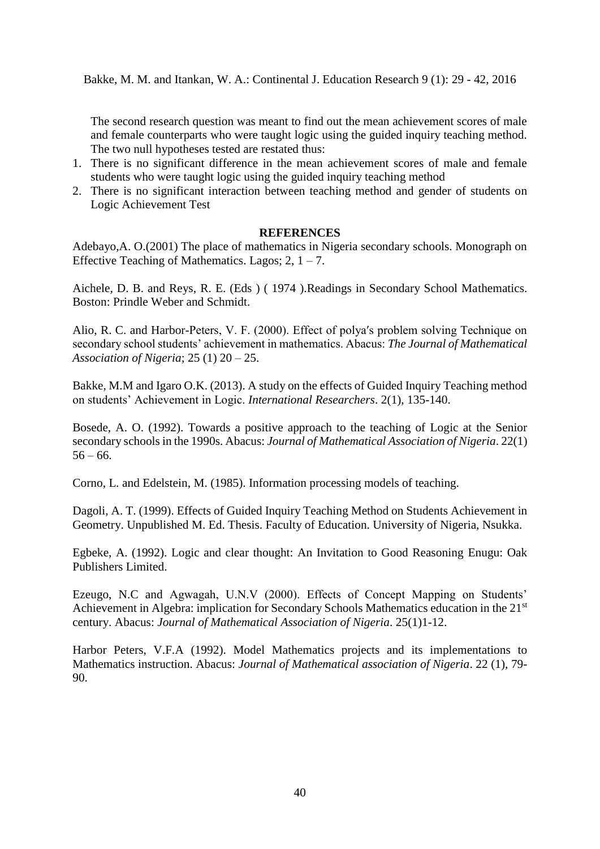The second research question was meant to find out the mean achievement scores of male and female counterparts who were taught logic using the guided inquiry teaching method. The two null hypotheses tested are restated thus:

- 1. There is no significant difference in the mean achievement scores of male and female students who were taught logic using the guided inquiry teaching method
- 2. There is no significant interaction between teaching method and gender of students on Logic Achievement Test

### **REFERENCES**

Adebayo,A. O.(2001) The place of mathematics in Nigeria secondary schools. Monograph on Effective Teaching of Mathematics. Lagos;  $2, 1 - 7$ .

Aichele, D. B. and Reys, R. E. (Eds ) ( 1974 ).Readings in Secondary School Mathematics. Boston: Prindle Weber and Schmidt.

Alio, R. C. and Harbor-Peters, V. F. (2000). Effect of polyaʹs problem solving Technique on secondary school students' achievement in mathematics. Abacus: *The Journal of Mathematical Association of Nigeria*; 25 (1) 20 – 25.

Bakke, M.M and Igaro O.K. (2013). A study on the effects of Guided Inquiry Teaching method on students' Achievement in Logic. *International Researchers*. 2(1), 135-140.

Bosede, A. O. (1992). Towards a positive approach to the teaching of Logic at the Senior secondary schools in the 1990s. Abacus: *Journal of Mathematical Association of Nigeria*. 22(1)  $56 - 66.$ 

Corno, L. and Edelstein, M. (1985). Information processing models of teaching.

Dagoli, A. T. (1999). Effects of Guided Inquiry Teaching Method on Students Achievement in Geometry. Unpublished M. Ed. Thesis. Faculty of Education. University of Nigeria, Nsukka.

Egbeke, A. (1992). Logic and clear thought: An Invitation to Good Reasoning Enugu: Oak Publishers Limited.

Ezeugo, N.C and Agwagah, U.N.V (2000). Effects of Concept Mapping on Students' Achievement in Algebra: implication for Secondary Schools Mathematics education in the 21<sup>st</sup> century. Abacus: *Journal of Mathematical Association of Nigeria*. 25(1)1-12.

Harbor Peters, V.F.A (1992). Model Mathematics projects and its implementations to Mathematics instruction. Abacus: *Journal of Mathematical association of Nigeria*. 22 (1), 79- 90.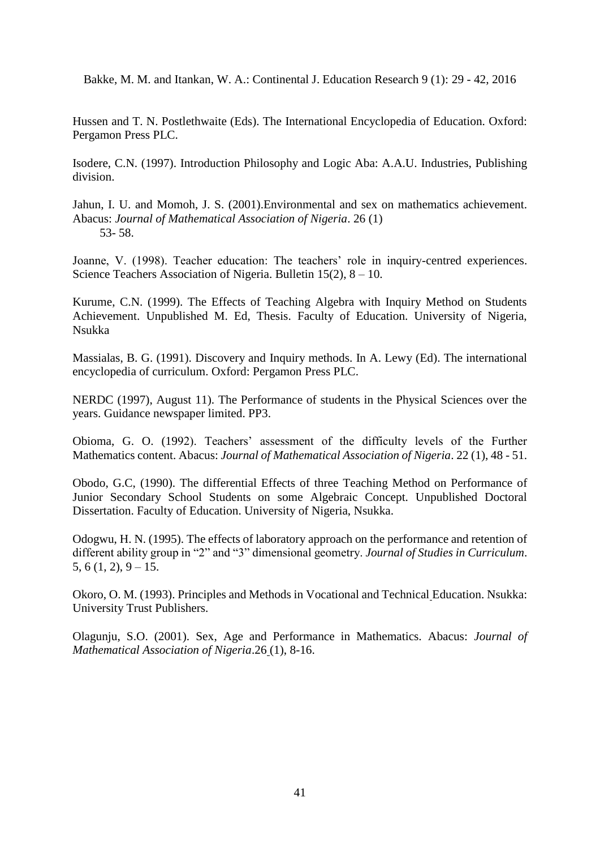Hussen and T. N. Postlethwaite (Eds). The International Encyclopedia of Education. Oxford: Pergamon Press PLC.

Isodere, C.N. (1997). Introduction Philosophy and Logic Aba: A.A.U. Industries, Publishing division.

Jahun, I. U. and Momoh, J. S. (2001).Environmental and sex on mathematics achievement. Abacus: *Journal of Mathematical Association of Nigeria*. 26 (1) 53- 58.

Joanne, V. (1998). Teacher education: The teachers' role in inquiry-centred experiences. Science Teachers Association of Nigeria. Bulletin 15(2), 8 – 10.

Kurume, C.N. (1999). The Effects of Teaching Algebra with Inquiry Method on Students Achievement. Unpublished M. Ed, Thesis. Faculty of Education. University of Nigeria, Nsukka

Massialas, B. G. (1991). Discovery and Inquiry methods. In A. Lewy (Ed). The international encyclopedia of curriculum. Oxford: Pergamon Press PLC.

NERDC (1997), August 11). The Performance of students in the Physical Sciences over the years. Guidance newspaper limited. PP3.

Obioma, G. O. (1992). Teachers' assessment of the difficulty levels of the Further Mathematics content. Abacus: *Journal of Mathematical Association of Nigeria*. 22 (1), 48 - 51.

Obodo, G.C, (1990). The differential Effects of three Teaching Method on Performance of Junior Secondary School Students on some Algebraic Concept. Unpublished Doctoral Dissertation. Faculty of Education. University of Nigeria, Nsukka.

Odogwu, H. N. (1995). The effects of laboratory approach on the performance and retention of different ability group in "2" and "3" dimensional geometry. *Journal of Studies in Curriculum*. 5, 6 (1, 2),  $9 - 15$ .

Okoro, O. M. (1993). Principles and Methods in Vocational and Technical Education. Nsukka: University Trust Publishers.

Olagunju, S.O. (2001). Sex, Age and Performance in Mathematics. Abacus: *Journal of Mathematical Association of Nigeria*.26 (1), 8-16.